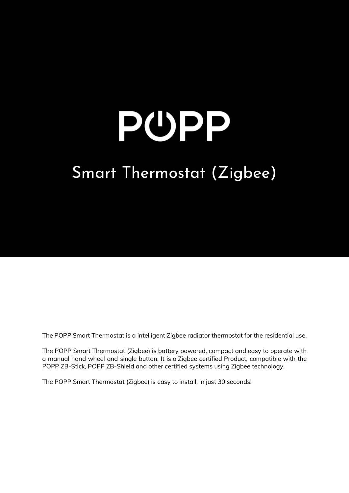# PUPP Smart Thermostat (Zigbee)

The POPP Smart Thermostat is a intelligent Zigbee radiator thermostat for the residential use.

The POPP Smart Thermostat (Zigbee) is battery powered, compact and easy to operate with a manual hand wheel and single button. It is a Zigbee certified Product, compatible with the POPP ZB-Stick, POPP ZB-Shield and other certified systems using Zigbee technology.

The POPP Smart Thermostat (Zigbee) is easy to install, in just 30 seconds!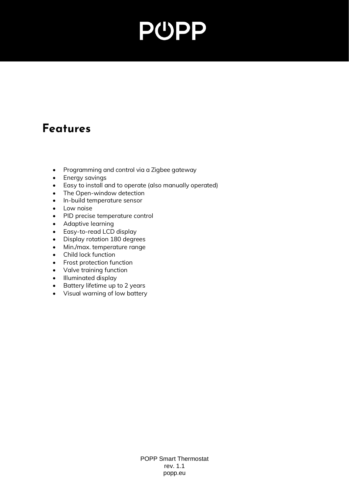### **Features**

- Programming and control via a Zigbee gateway
- Energy savings
- Easy to install and to operate (also manually operated)
- The Open-window detection
- In-build temperature sensor
- Low noise
- PID precise temperature control
- Adaptive learning
- Easy-to-read LCD display
- Display rotation 180 degrees
- Min./max. temperature range
- Child lock function
- Frost protection function
- Valve training function
- Illuminated display
- Battery lifetime up to 2 years
- Visual warning of low battery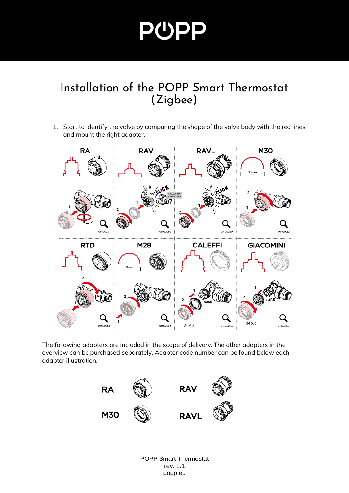#### Installation of the POPP Smart Thermostat (Zigbee)

1. Start to identify the valve by comparing the shape of the valve body with the red lines and mount the right adapter.



The following adapters are included in the scope of delivery. The other adapters in the overview can be purchased separately. Adapter code number can be found below each adapter illustration.

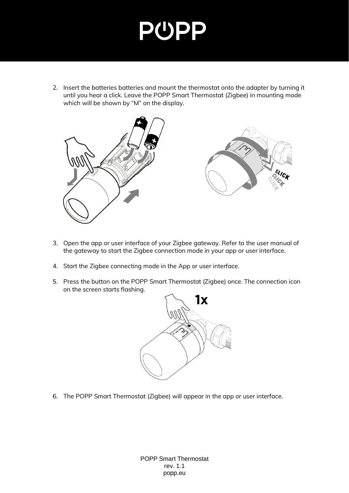2. Insert the batteries batteries and mount the thermostat onto the adapter by turning it until you hear a click. Leave the POPP Smart Thermostat (Zigbee) in mounting mode which will be shown by "M" on the display.



- 3. Open the app or user interface of your Zigbee gateway. Refer to the user manual of the gateway to start the Zigbee connection mode in your app or user interface.
- 4. Start the Zigbee connecting mode in the App or user interface.
- 5. Press the button on the POPP Smart Thermostat (Zigbee) once. The connection icon on the screen starts flashing.



6. The POPP Smart Thermostat (Zigbee) will appear in the app or user interface.